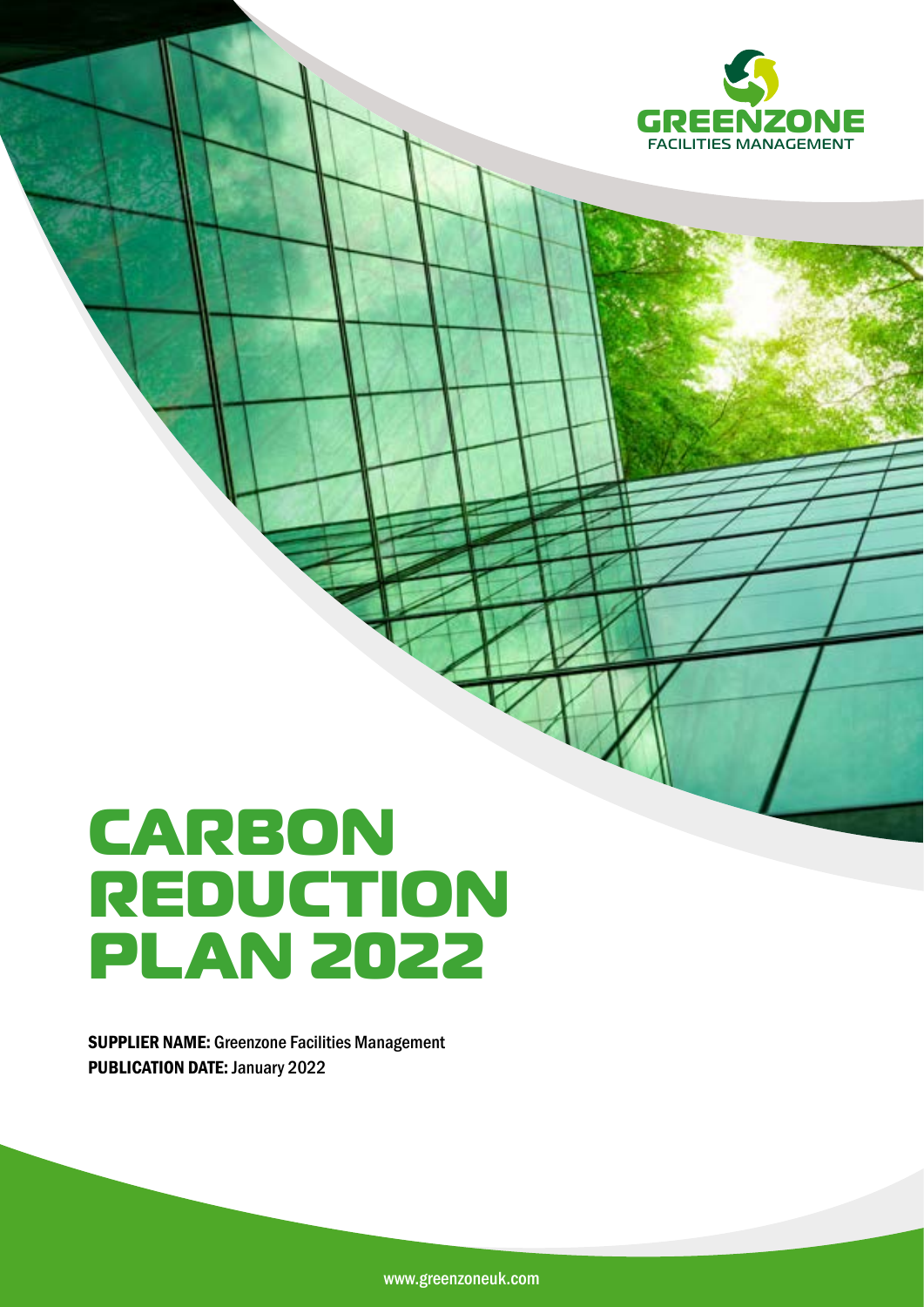

# **CARBON REDUCTION PLAN 2022**

SUPPLIER NAME: Greenzone Facilities Management PUBLICATION DATE: January 2022

www.greenzoneuk.com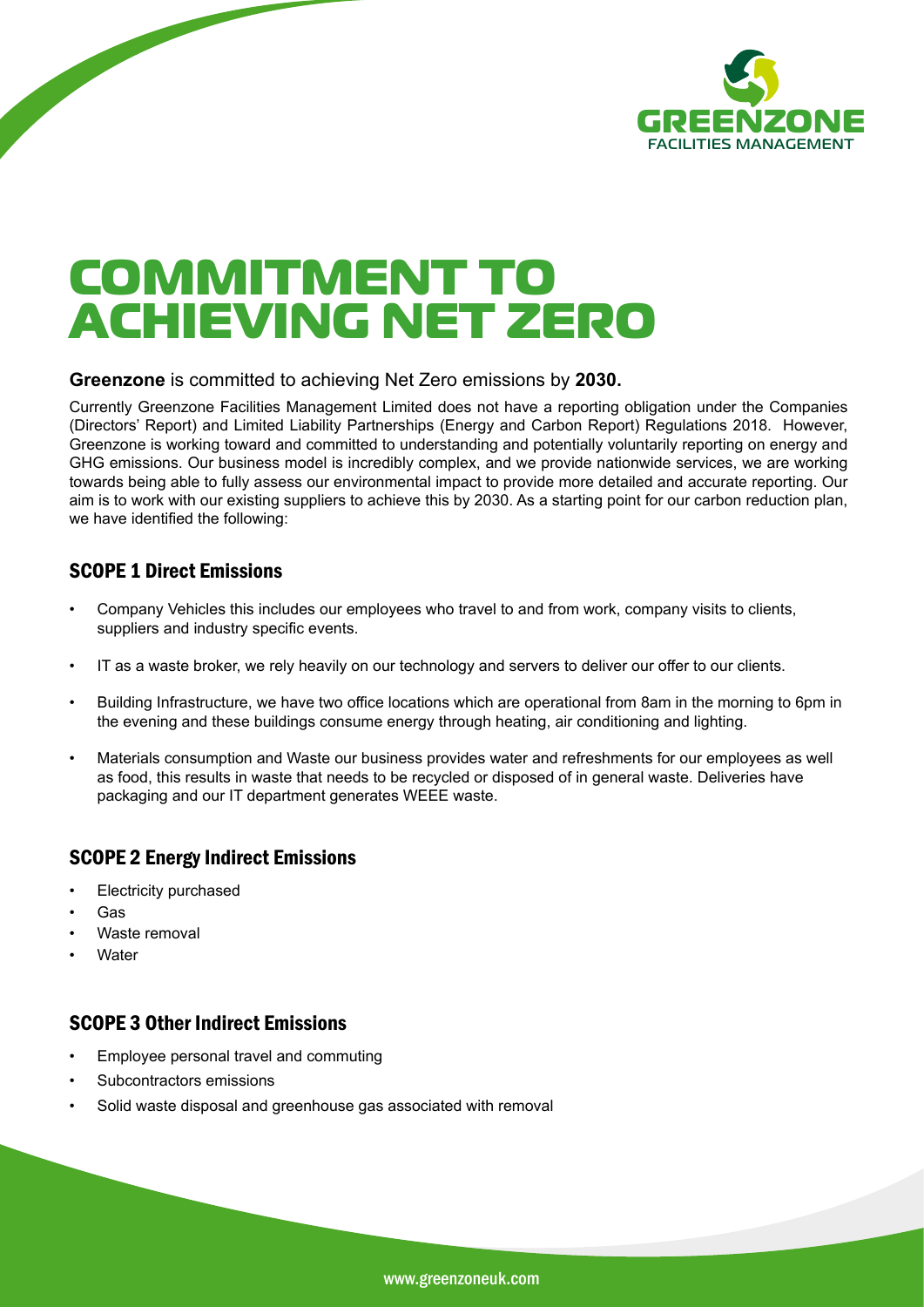

# **COMMITMENT TO ACHIEVING NET ZERO**

#### **Greenzone** is committed to achieving Net Zero emissions by **2030.**

Currently Greenzone Facilities Management Limited does not have a reporting obligation under the Companies (Directors' Report) and Limited Liability Partnerships (Energy and Carbon Report) Regulations 2018. However, Greenzone is working toward and committed to understanding and potentially voluntarily reporting on energy and GHG emissions. Our business model is incredibly complex, and we provide nationwide services, we are working towards being able to fully assess our environmental impact to provide more detailed and accurate reporting. Our aim is to work with our existing suppliers to achieve this by 2030. As a starting point for our carbon reduction plan, we have identified the following:

# SCOPE 1 Direct Emissions

- Company Vehicles this includes our employees who travel to and from work, company visits to clients, suppliers and industry specific events.
- IT as a waste broker, we rely heavily on our technology and servers to deliver our offer to our clients.
- Building Infrastructure, we have two office locations which are operational from 8am in the morning to 6pm in the evening and these buildings consume energy through heating, air conditioning and lighting.
- Materials consumption and Waste our business provides water and refreshments for our employees as well as food, this results in waste that needs to be recycled or disposed of in general waste. Deliveries have packaging and our IT department generates WEEE waste.

# SCOPE 2 Energy Indirect Emissions

- **Electricity purchased**
- Gas
- Waste removal
- **Water**

# SCOPE 3 Other Indirect Emissions

- Employee personal travel and commuting
- Subcontractors emissions
- Solid waste disposal and greenhouse gas associated with removal

www.greenzoneuk.com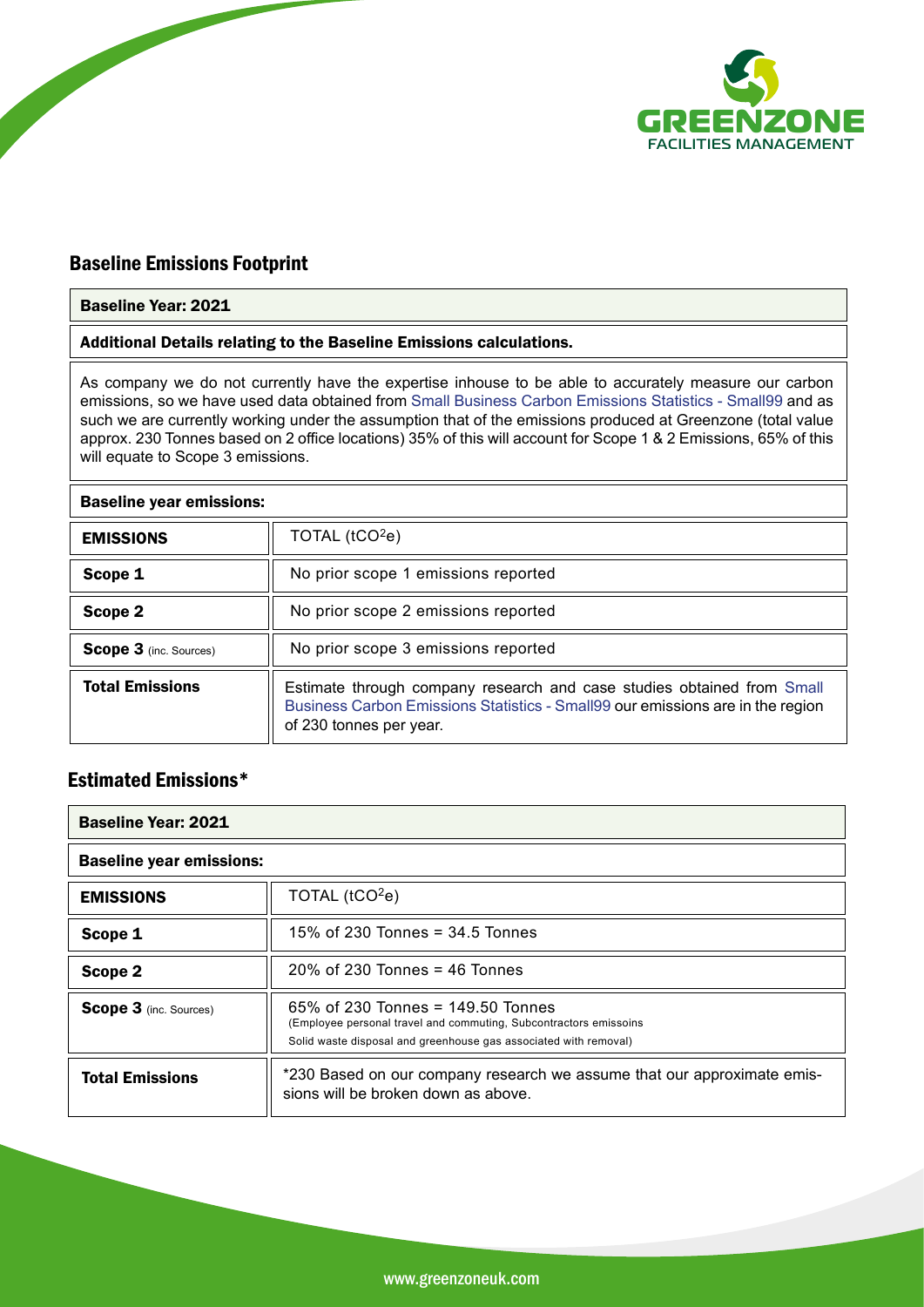

# Baseline Emissions Footprint

#### Baseline Year: 2021

Additional Details relating to the Baseline Emissions calculations.

As company we do not currently have the expertise inhouse to be able to accurately measure our carbon emissions, so we have used data obtained from Small Business Carbon Emissions Statistics - Small99 and as such we are currently working under the assumption that of the emissions produced at Greenzone (total value approx. 230 Tonnes based on 2 office locations) 35% of this will account for Scope 1 & 2 Emissions, 65% of this will equate to Scope 3 emissions.

#### Baseline year emissions:

| <b>EMISSIONS</b>              | TOTAL $(tCO2e)$                                                                                                                                                                     |
|-------------------------------|-------------------------------------------------------------------------------------------------------------------------------------------------------------------------------------|
| Scope 1                       | No prior scope 1 emissions reported                                                                                                                                                 |
| Scope 2                       | No prior scope 2 emissions reported                                                                                                                                                 |
| <b>Scope 3</b> (inc. Sources) | No prior scope 3 emissions reported                                                                                                                                                 |
| <b>Total Emissions</b>        | Estimate through company research and case studies obtained from Small<br>Business Carbon Emissions Statistics - Small99 our emissions are in the region<br>of 230 tonnes per year. |

# Estimated Emissions\*

| <b>Baseline Year: 2021</b>      |                                                                                                                                                                               |
|---------------------------------|-------------------------------------------------------------------------------------------------------------------------------------------------------------------------------|
| <b>Baseline year emissions:</b> |                                                                                                                                                                               |
| <b>EMISSIONS</b>                | TOTAL $(tCO2e)$                                                                                                                                                               |
| Scope 1                         | 15% of 230 Tonnes = $34.5$ Tonnes                                                                                                                                             |
| Scope 2                         | $20\%$ of 230 Tonnes = 46 Tonnes                                                                                                                                              |
| <b>Scope 3</b> (inc. Sources)   | 65% of 230 Tonnes = $149.50$ Tonnes<br>(Employee personal travel and commuting, Subcontractors emissoins)<br>Solid waste disposal and greenhouse gas associated with removal) |
| <b>Total Emissions</b>          | *230 Based on our company research we assume that our approximate emis-<br>sions will be broken down as above.                                                                |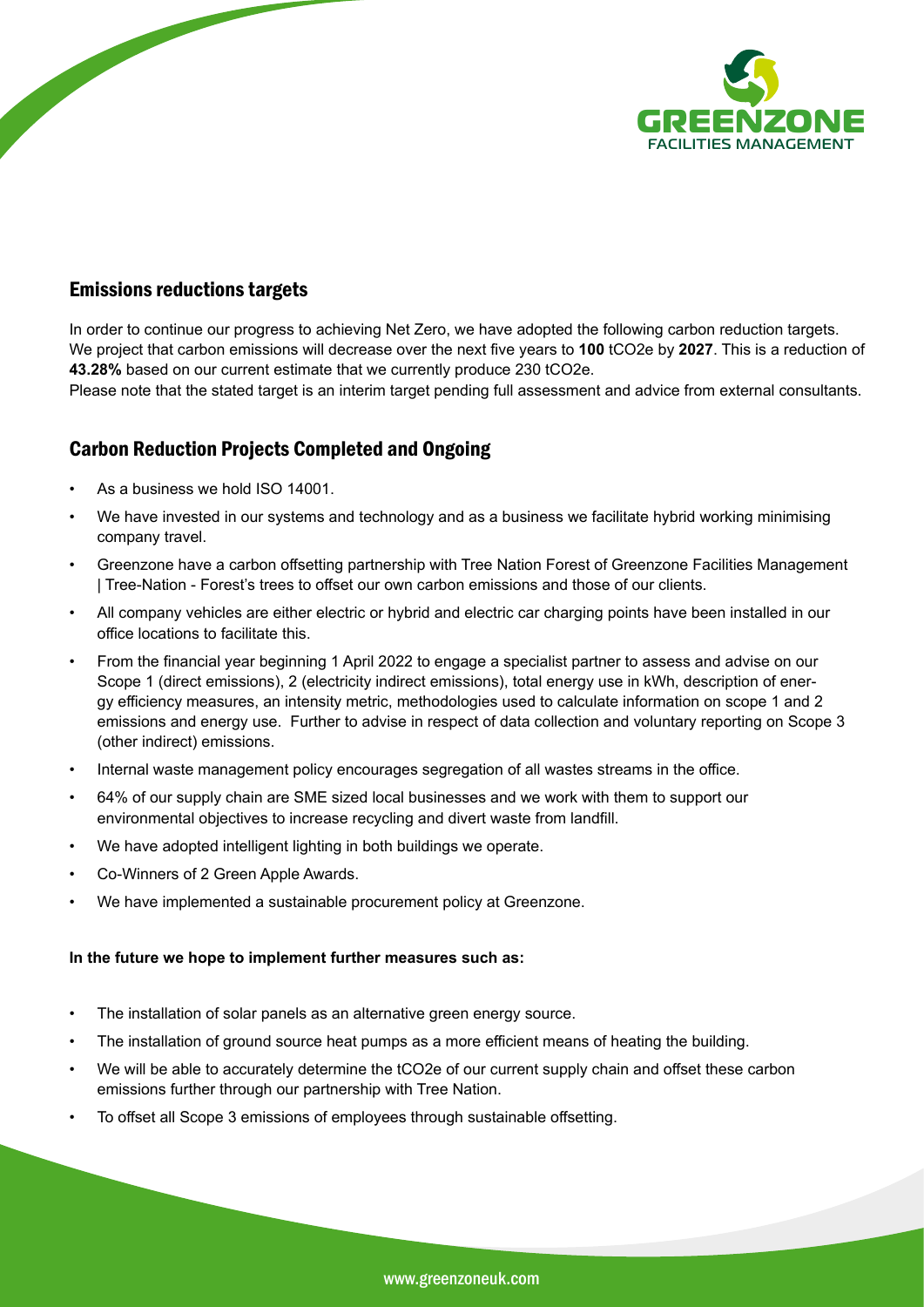

## Emissions reductions targets

In order to continue our progress to achieving Net Zero, we have adopted the following carbon reduction targets. We project that carbon emissions will decrease over the next five years to **100** tCO2e by **2027**. This is a reduction of **43.28%** based on our current estimate that we currently produce 230 tCO2e.

Please note that the stated target is an interim target pending full assessment and advice from external consultants.

# Carbon Reduction Projects Completed and Ongoing

- As a business we hold ISO 14001.
- We have invested in our systems and technology and as a business we facilitate hybrid working minimising company travel.
- Greenzone have a carbon offsetting partnership with Tree Nation Forest of Greenzone Facilities Management | Tree-Nation - Forest's trees to offset our own carbon emissions and those of our clients.
- All company vehicles are either electric or hybrid and electric car charging points have been installed in our office locations to facilitate this.
- From the financial year beginning 1 April 2022 to engage a specialist partner to assess and advise on our Scope 1 (direct emissions), 2 (electricity indirect emissions), total energy use in kWh, description of energy efficiency measures, an intensity metric, methodologies used to calculate information on scope 1 and 2 emissions and energy use. Further to advise in respect of data collection and voluntary reporting on Scope 3 (other indirect) emissions.
- Internal waste management policy encourages segregation of all wastes streams in the office.
- 64% of our supply chain are SME sized local businesses and we work with them to support our environmental objectives to increase recycling and divert waste from landfill.
- We have adopted intelligent lighting in both buildings we operate.
- Co-Winners of 2 Green Apple Awards.
- We have implemented a sustainable procurement policy at Greenzone.

#### **In the future we hope to implement further measures such as:**

- The installation of solar panels as an alternative green energy source.
- The installation of ground source heat pumps as a more efficient means of heating the building.
- We will be able to accurately determine the tCO2e of our current supply chain and offset these carbon emissions further through our partnership with Tree Nation.
- To offset all Scope 3 emissions of employees through sustainable offsetting.

www.greenzoneuk.com